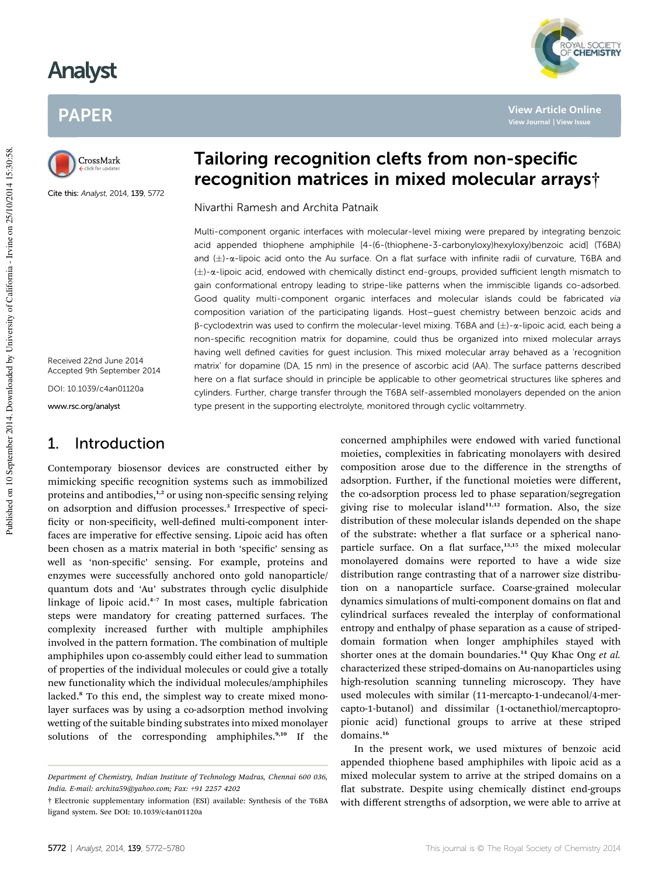# Analyst

# PAPER



Cite this: Analyst, 2014, 139, 5772

Received 22nd June 2014 Accepted 9th September 2014

DOI: 10.1039/c4an01120a

www.rsc.org/analyst

# 1. Introduction

Contemporary biosensor devices are constructed either by mimicking specific recognition systems such as immobilized proteins and antibodies,<sup>1,2</sup> or using non-specific sensing relying on adsorption and diffusion processes.<sup>3</sup> Irrespective of specificity or non-specificity, well-defined multi-component interfaces are imperative for effective sensing. Lipoic acid has often been chosen as a matrix material in both 'specific' sensing as well as 'non-specific' sensing. For example, proteins and enzymes were successfully anchored onto gold nanoparticle/ quantum dots and 'Au' substrates through cyclic disulphide linkage of lipoic acid.<sup>4-7</sup> In most cases, multiple fabrication steps were mandatory for creating patterned surfaces. The complexity increased further with multiple amphiphiles involved in the pattern formation. The combination of multiple amphiphiles upon co-assembly could either lead to summation of properties of the individual molecules or could give a totally new functionality which the individual molecules/amphiphiles lacked.<sup>8</sup> To this end, the simplest way to create mixed monolayer surfaces was by using a co-adsorption method involving wetting of the suitable binding substrates into mixed monolayer solutions of the corresponding amphiphiles. $9,10$  If the

# Tailoring recognition clefts from non-specific recognition matrices in mixed molecular arrays†

**View Article Online**

*MAL SOCIETY*<br>**CHEMISTRY** 

Nivarthi Ramesh and Archita Patnaik

Multi-component organic interfaces with molecular-level mixing were prepared by integrating benzoic acid appended thiophene amphiphile [4-(6-(thiophene-3-carbonyloxy)hexyloxy)benzoic acid] (T6BA) and  $(\pm)$ - $\alpha$ -lipoic acid onto the Au surface. On a flat surface with infinite radii of curvature, T6BA and  $(\pm)$ - $\alpha$ -lipoic acid, endowed with chemically distinct end-groups, provided sufficient length mismatch to gain conformational entropy leading to stripe-like patterns when the immiscible ligands co-adsorbed. Good quality multi-component organic interfaces and molecular islands could be fabricated via composition variation of the participating ligands. Host–guest chemistry between benzoic acids and  $\beta$ -cyclodextrin was used to confirm the molecular-level mixing. T6BA and  $(\pm)$ - $\alpha$ -lipoic acid, each being a non-specific recognition matrix for dopamine, could thus be organized into mixed molecular arrays having well defined cavities for guest inclusion. This mixed molecular array behaved as a 'recognition matrix' for dopamine (DA, 15 nm) in the presence of ascorbic acid (AA). The surface patterns described here on a flat surface should in principle be applicable to other geometrical structures like spheres and cylinders. Further, charge transfer through the T6BA self-assembled monolayers depended on the anion type present in the supporting electrolyte, monitored through cyclic voltammetry.

> concerned amphiphiles were endowed with varied functional moieties, complexities in fabricating monolayers with desired composition arose due to the difference in the strengths of adsorption. Further, if the functional moieties were different, the co-adsorption process led to phase separation/segregation giving rise to molecular island $11,12$  formation. Also, the size distribution of these molecular islands depended on the shape of the substrate: whether a flat surface or a spherical nanoparticle surface. On a flat surface,<sup>13,15</sup> the mixed molecular monolayered domains were reported to have a wide size distribution range contrasting that of a narrower size distribution on a nanoparticle surface. Coarse-grained molecular dynamics simulations of multi-component domains on flat and cylindrical surfaces revealed the interplay of conformational entropy and enthalpy of phase separation as a cause of stripeddomain formation when longer amphiphiles stayed with shorter ones at the domain boundaries.<sup>14</sup> Quy Khac Ong *et al.* characterized these striped-domains on Au-nanoparticles using high-resolution scanning tunneling microscopy. They have used molecules with similar (11-mercapto-1-undecanol/4-mercapto-1-butanol) and dissimilar (1-octanethiol/mercaptopropionic acid) functional groups to arrive at these striped domains.<sup>16</sup>

> In the present work, we used mixtures of benzoic acid appended thiophene based amphiphiles with lipoic acid as a mixed molecular system to arrive at the striped domains on a flat substrate. Despite using chemically distinct end-groups with different strengths of adsorption, we were able to arrive at

*Department of Chemistry, Indian Institute of Technology Madras, Chennai 600 036, India. E-mail: archita59@yahoo.com; Fax: +91 2257 4202*

<sup>†</sup> Electronic supplementary information (ESI) available: Synthesis of the T6BA ligand system. See DOI: 10.1039/c4an01120a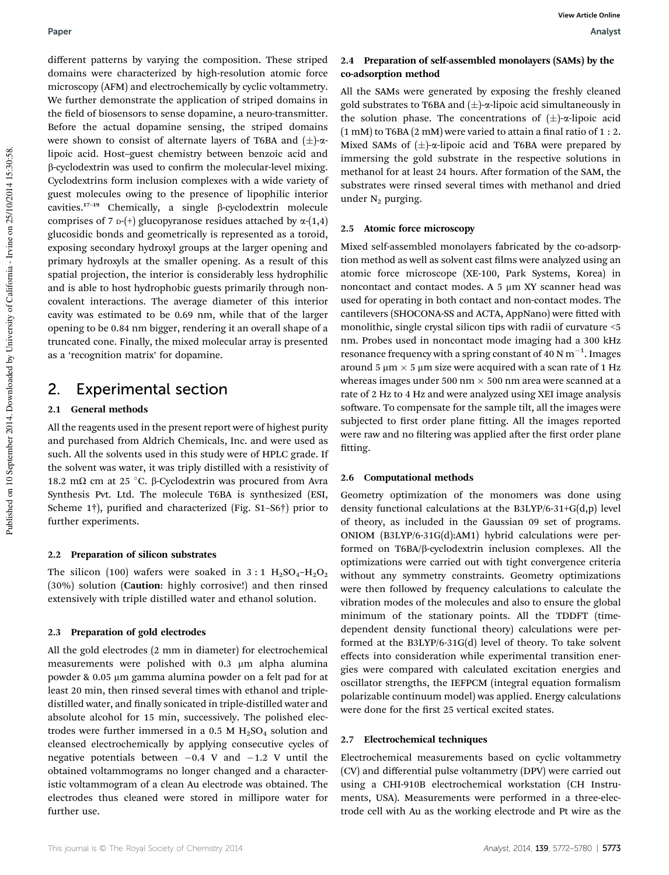different patterns by varying the composition. These striped domains were characterized by high-resolution atomic force microscopy (AFM) and electrochemically by cyclic voltammetry. We further demonstrate the application of striped domains in the field of biosensors to sense dopamine, a neuro-transmitter. Before the actual dopamine sensing, the striped domains were shown to consist of alternate layers of T6BA and  $(\pm)$ - $\alpha$ lipoic acid. Host–guest chemistry between benzoic acid and  $\beta$ -cyclodextrin was used to confirm the molecular-level mixing. Cyclodextrins form inclusion complexes with a wide variety of guest molecules owing to the presence of lipophilic interior cavities.<sup>17</sup>–<sup>19</sup> Chemically, a single b-cyclodextrin molecule comprises of 7  $\nu$ -(+) glucopyranose residues attached by  $\alpha$ -(1,4) glucosidic bonds and geometrically is represented as a toroid, exposing secondary hydroxyl groups at the larger opening and primary hydroxyls at the smaller opening. As a result of this spatial projection, the interior is considerably less hydrophilic and is able to host hydrophobic guests primarily through noncovalent interactions. The average diameter of this interior cavity was estimated to be 0.69 nm, while that of the larger opening to be 0.84 nm bigger, rendering it an overall shape of a truncated cone. Finally, the mixed molecular array is presented as a 'recognition matrix' for dopamine.

# 2. Experimental section

# 2.1 General methods

All the reagents used in the present report were of highest purity and purchased from Aldrich Chemicals, Inc. and were used as such. All the solvents used in this study were of HPLC grade. If the solvent was water, it was triply distilled with a resistivity of 18.2 mΩ cm at 25 °C. β-Cyclodextrin was procured from Avra Synthesis Pvt. Ltd. The molecule T6BA is synthesized (ESI, Scheme 1†), purified and characterized (Fig. S1-S6†) prior to further experiments.

### 2.2 Preparation of silicon substrates

The silicon (100) wafers were soaked in  $3:1 \text{ H}_2\text{SO}_4-\text{H}_2\text{O}_2$ (30%) solution (Caution: highly corrosive!) and then rinsed extensively with triple distilled water and ethanol solution.

### 2.3 Preparation of gold electrodes

All the gold electrodes (2 mm in diameter) for electrochemical measurements were polished with 0.3 µm alpha alumina powder & 0.05 µm gamma alumina powder on a felt pad for at least 20 min, then rinsed several times with ethanol and tripledistilled water, and finally sonicated in triple-distilled water and absolute alcohol for 15 min, successively. The polished electrodes were further immersed in a 0.5 M  $H_2SO_4$  solution and cleansed electrochemically by applying consecutive cycles of negative potentials between  $-0.4$  V and  $-1.2$  V until the obtained voltammograms no longer changed and a characteristic voltammogram of a clean Au electrode was obtained. The electrodes thus cleaned were stored in millipore water for further use.

# 2.4 Preparation of self-assembled monolayers (SAMs) by the co-adsorption method

All the SAMs were generated by exposing the freshly cleaned gold substrates to T6BA and  $(\pm)$ - $\alpha$ -lipoic acid simultaneously in the solution phase. The concentrations of  $(\pm)$ - $\alpha$ -lipoic acid  $(1 \text{ mM})$  to T6BA  $(2 \text{ mM})$  were varied to attain a final ratio of  $1:2$ . Mixed SAMs of  $(\pm)$ - $\alpha$ -lipoic acid and T6BA were prepared by immersing the gold substrate in the respective solutions in methanol for at least 24 hours. After formation of the SAM, the substrates were rinsed several times with methanol and dried under N<sub>2</sub> purging.

# 2.5 Atomic force microscopy

Mixed self-assembled monolayers fabricated by the co-adsorption method as well as solvent cast films were analyzed using an atomic force microscope (XE-100, Park Systems, Korea) in noncontact and contact modes. A  $5 \mu m XY$  scanner head was used for operating in both contact and non-contact modes. The cantilevers (SHOCONA-SS and ACTA, AppNano) were fitted with monolithic, single crystal silicon tips with radii of curvature <5 nm. Probes used in noncontact mode imaging had a 300 kHz resonance frequency with a spring constant of 40 N  $\mathrm{m}^{-1}$ . Images around 5  $\mu$ m  $\times$  5  $\mu$ m size were acquired with a scan rate of 1 Hz whereas images under 500 nm  $\times$  500 nm area were scanned at a rate of 2 Hz to 4 Hz and were analyzed using XEI image analysis software. To compensate for the sample tilt, all the images were subjected to first order plane fitting. All the images reported were raw and no filtering was applied after the first order plane fitting.

# 2.6 Computational methods

Geometry optimization of the monomers was done using density functional calculations at the B3LYP/6-31+G(d,p) level of theory, as included in the Gaussian 09 set of programs. ONIOM (B3LYP/6-31G(d):AM1) hybrid calculations were performed on T6BA/b-cyclodextrin inclusion complexes. All the optimizations were carried out with tight convergence criteria without any symmetry constraints. Geometry optimizations were then followed by frequency calculations to calculate the vibration modes of the molecules and also to ensure the global minimum of the stationary points. All the TDDFT (timedependent density functional theory) calculations were performed at the B3LYP/6-31G(d) level of theory. To take solvent effects into consideration while experimental transition energies were compared with calculated excitation energies and oscillator strengths, the IEFPCM (integral equation formalism polarizable continuum model) was applied. Energy calculations were done for the first 25 vertical excited states.

### 2.7 Electrochemical techniques

Electrochemical measurements based on cyclic voltammetry (CV) and differential pulse voltammetry (DPV) were carried out using a CHI-910B electrochemical workstation (CH Instruments, USA). Measurements were performed in a three-electrode cell with Au as the working electrode and Pt wire as the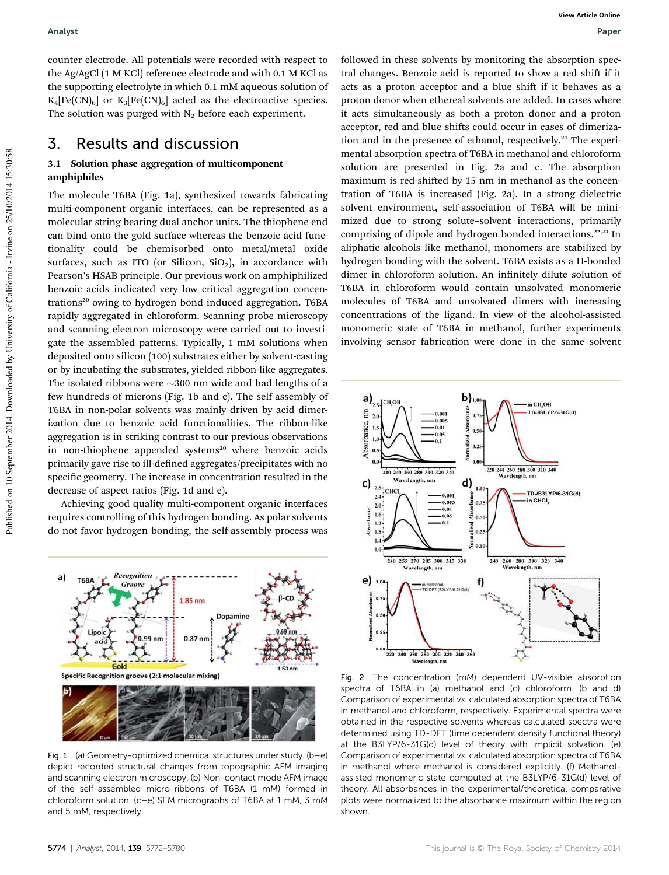counter electrode. All potentials were recorded with respect to the Ag/AgCl (1 M KCl) reference electrode and with 0.1 M KCl as the supporting electrolyte in which 0.1 mM aqueous solution of  $K_4[Fe(CN)_6]$  or  $K_3[Fe(CN)_6]$  acted as the electroactive species. The solution was purged with  $N_2$  before each experiment.

# 3. Results and discussion

# 3.1 Solution phase aggregation of multicomponent amphiphiles

The molecule T6BA (Fig. 1a), synthesized towards fabricating multi-component organic interfaces, can be represented as a molecular string bearing dual anchor units. The thiophene end can bind onto the gold surface whereas the benzoic acid functionality could be chemisorbed onto metal/metal oxide surfaces, such as ITO (or Silicon,  $SiO<sub>2</sub>$ ), in accordance with Pearson's HSAB principle. Our previous work on amphiphilized benzoic acids indicated very low critical aggregation concentrations<sup>20</sup> owing to hydrogen bond induced aggregation. T6BA rapidly aggregated in chloroform. Scanning probe microscopy and scanning electron microscopy were carried out to investigate the assembled patterns. Typically, 1 mM solutions when deposited onto silicon (100) substrates either by solvent-casting or by incubating the substrates, yielded ribbon-like aggregates. The isolated ribbons were  $\sim$ 300 nm wide and had lengths of a few hundreds of microns (Fig. 1b and c). The self-assembly of T6BA in non-polar solvents was mainly driven by acid dimerization due to benzoic acid functionalities. The ribbon-like aggregation is in striking contrast to our previous observations in non-thiophene appended systems<sup>20</sup> where benzoic acids primarily gave rise to ill-defined aggregates/precipitates with no specific geometry. The increase in concentration resulted in the decrease of aspect ratios (Fig. 1d and e).

Achieving good quality multi-component organic interfaces requires controlling of this hydrogen bonding. As polar solvents do not favor hydrogen bonding, the self-assembly process was



Fig. 1 (a) Geometry-optimized chemical structures under study. (b–e) depict recorded structural changes from topographic AFM imaging and scanning electron microscopy. (b) Non-contact mode AFM image of the self-assembled micro-ribbons of T6BA (1 mM) formed in chloroform solution. (c–e) SEM micrographs of T6BA at 1 mM, 3 mM and 5 mM, respectively.

followed in these solvents by monitoring the absorption spectral changes. Benzoic acid is reported to show a red shift if it acts as a proton acceptor and a blue shift if it behaves as a proton donor when ethereal solvents are added. In cases where it acts simultaneously as both a proton donor and a proton acceptor, red and blue shifts could occur in cases of dimerization and in the presence of ethanol, respectively.<sup>21</sup> The experimental absorption spectra of T6BA in methanol and chloroform solution are presented in Fig. 2a and c. The absorption maximum is red-shifted by 15 nm in methanol as the concentration of T6BA is increased (Fig. 2a). In a strong dielectric solvent environment, self-association of T6BA will be minimized due to strong solute–solvent interactions, primarily comprising of dipole and hydrogen bonded interactions.<sup>22,23</sup> In aliphatic alcohols like methanol, monomers are stabilized by hydrogen bonding with the solvent. T6BA exists as a H-bonded dimer in chloroform solution. An infinitely dilute solution of T6BA in chloroform would contain unsolvated monomeric molecules of T6BA and unsolvated dimers with increasing concentrations of the ligand. In view of the alcohol-assisted monomeric state of T6BA in methanol, further experiments involving sensor fabrication were done in the same solvent



Fig. 2 The concentration (mM) dependent UV-visible absorption spectra of T6BA in (a) methanol and (c) chloroform. (b and d) Comparison of experimental vs. calculated absorption spectra of T6BA in methanol and chloroform, respectively. Experimental spectra were obtained in the respective solvents whereas calculated spectra were determined using TD-DFT (time dependent density functional theory) at the B3LYP/6-31G(d) level of theory with implicit solvation. (e) Comparison of experimental vs. calculated absorption spectra of T6BA in methanol where methanol is considered explicitly. (f) Methanolassisted monomeric state computed at the B3LYP/6-31G(d) level of theory. All absorbances in the experimental/theoretical comparative plots were normalized to the absorbance maximum within the region shown.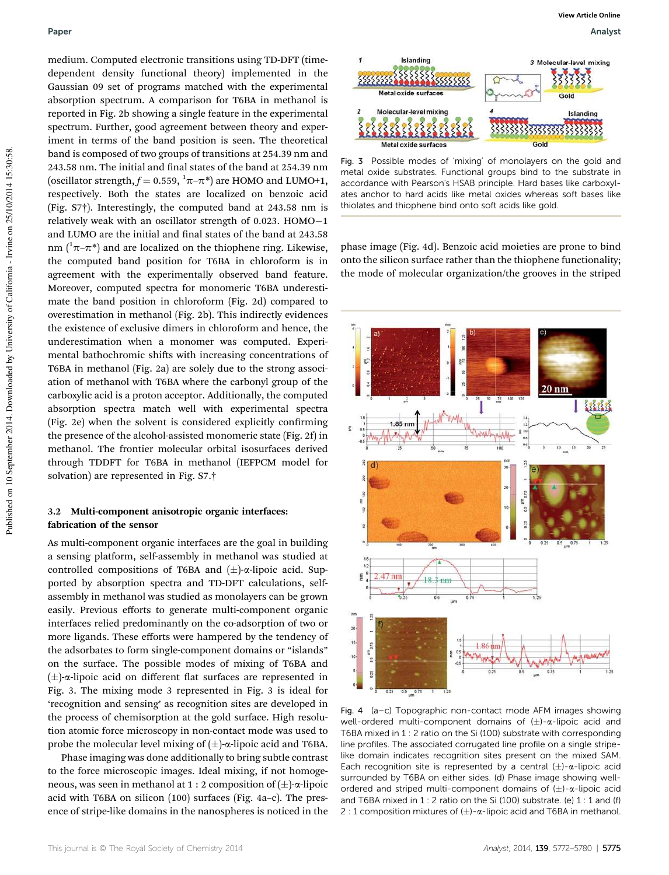# Paper Analyst

medium. Computed electronic transitions using TD-DFT (timedependent density functional theory) implemented in the Gaussian 09 set of programs matched with the experimental absorption spectrum. A comparison for T6BA in methanol is reported in Fig. 2b showing a single feature in the experimental spectrum. Further, good agreement between theory and experiment in terms of the band position is seen. The theoretical band is composed of two groups of transitions at 254.39 nm and 243.58 nm. The initial and final states of the band at 254.39 nm (oscillator strength,  $f = 0.559$ ,  $\pi - \pi$ <sup>\*</sup>) are HOMO and LUMO+1, respectively. Both the states are localized on benzoic acid (Fig. S7†). Interestingly, the computed band at 243.58 nm is relatively weak with an oscillator strength of 0.023. HOMO $-1$ and LUMO are the initial and final states of the band at 243.58 nm  $(1\pi-\pi^*)$  and are localized on the thiophene ring. Likewise, the computed band position for T6BA in chloroform is in agreement with the experimentally observed band feature. Moreover, computed spectra for monomeric T6BA underestimate the band position in chloroform (Fig. 2d) compared to overestimation in methanol (Fig. 2b). This indirectly evidences the existence of exclusive dimers in chloroform and hence, the underestimation when a monomer was computed. Experimental bathochromic shifts with increasing concentrations of T6BA in methanol (Fig. 2a) are solely due to the strong association of methanol with T6BA where the carbonyl group of the carboxylic acid is a proton acceptor. Additionally, the computed absorption spectra match well with experimental spectra (Fig. 2e) when the solvent is considered explicitly confirming the presence of the alcohol-assisted monomeric state (Fig. 2f) in methanol. The frontier molecular orbital isosurfaces derived through TDDFT for T6BA in methanol (IEFPCM model for solvation) are represented in Fig. S7.†

# 3.2 Multi-component anisotropic organic interfaces: fabrication of the sensor

As multi-component organic interfaces are the goal in building a sensing platform, self-assembly in methanol was studied at controlled compositions of T6BA and  $(\pm)$ - $\alpha$ -lipoic acid. Supported by absorption spectra and TD-DFT calculations, selfassembly in methanol was studied as monolayers can be grown easily. Previous efforts to generate multi-component organic interfaces relied predominantly on the co-adsorption of two or more ligands. These efforts were hampered by the tendency of the adsorbates to form single-component domains or "islands" on the surface. The possible modes of mixing of T6BA and  $(\pm)$ - $\alpha$ -lipoic acid on different flat surfaces are represented in Fig. 3. The mixing mode 3 represented in Fig. 3 is ideal for 'recognition and sensing' as recognition sites are developed in the process of chemisorption at the gold surface. High resolution atomic force microscopy in non-contact mode was used to probe the molecular level mixing of  $(\pm)$ - $\alpha$ -lipoic acid and T6BA.

Phase imaging was done additionally to bring subtle contrast to the force microscopic images. Ideal mixing, if not homogeneous, was seen in methanol at 1 : 2 composition of  $(\pm)$ - $\alpha$ -lipoic acid with T6BA on silicon (100) surfaces (Fig. 4a–c). The presence of stripe-like domains in the nanospheres is noticed in the



Fig. 3 Possible modes of 'mixing' of monolayers on the gold and metal oxide substrates. Functional groups bind to the substrate in accordance with Pearson's HSAB principle. Hard bases like carboxylates anchor to hard acids like metal oxides whereas soft bases like thiolates and thiophene bind onto soft acids like gold.

phase image (Fig. 4d). Benzoic acid moieties are prone to bind onto the silicon surface rather than the thiophene functionality; the mode of molecular organization/the grooves in the striped



Fig. 4 (a–c) Topographic non-contact mode AFM images showing well-ordered multi-component domains of  $(\pm)$ - $\alpha$ -lipoic acid and T6BA mixed in 1 : 2 ratio on the Si (100) substrate with corresponding line profiles. The associated corrugated line profile on a single stripelike domain indicates recognition sites present on the mixed SAM. Each recognition site is represented by a central  $(\pm)$ - $\alpha$ -lipoic acid surrounded by T6BA on either sides. (d) Phase image showing wellordered and striped multi-component domains of  $(\pm)$ - $\alpha$ -lipoic acid and T6BA mixed in  $1:2$  ratio on the Si (100) substrate. (e)  $1:1$  and (f) 2 : 1 composition mixtures of  $(\pm)$ - $\alpha$ -lipoic acid and T6BA in methanol.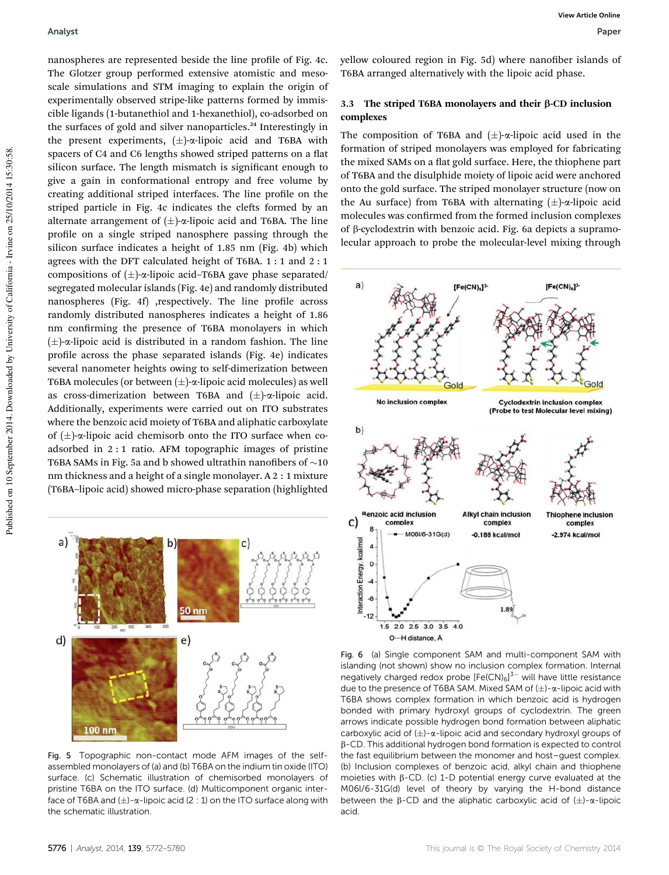nanospheres are represented beside the line profile of Fig. 4c. The Glotzer group performed extensive atomistic and mesoscale simulations and STM imaging to explain the origin of experimentally observed stripe-like patterns formed by immiscible ligands (1-butanethiol and 1-hexanethiol), co-adsorbed on the surfaces of gold and silver nanoparticles.<sup>24</sup> Interestingly in the present experiments,  $(\pm)$ - $\alpha$ -lipoic acid and T6BA with spacers of C4 and C6 lengths showed striped patterns on a flat silicon surface. The length mismatch is significant enough to give a gain in conformational entropy and free volume by creating additional striped interfaces. The line profile on the striped particle in Fig. 4c indicates the clefts formed by an alternate arrangement of  $(\pm)$ - $\alpha$ -lipoic acid and T6BA. The line profile on a single striped nanosphere passing through the silicon surface indicates a height of 1.85 nm (Fig. 4b) which agrees with the DFT calculated height of T6BA. 1 : 1 and 2 : 1 compositions of  $(\pm)$ - $\alpha$ -lipoic acid–T6BA gave phase separated/ segregated molecular islands (Fig. 4e) and randomly distributed nanospheres (Fig. 4f) ,respectively. The line profile across randomly distributed nanospheres indicates a height of 1.86 nm confirming the presence of T6BA monolayers in which  $(\pm)$ - $\alpha$ -lipoic acid is distributed in a random fashion. The line profile across the phase separated islands (Fig. 4e) indicates several nanometer heights owing to self-dimerization between T6BA molecules (or between  $(\pm)$ - $\alpha$ -lipoic acid molecules) as well as cross-dimerization between T6BA and  $(\pm)$ - $\alpha$ -lipoic acid. Additionally, experiments were carried out on ITO substrates where the benzoic acid moiety of T6BA and aliphatic carboxylate of  $(\pm)$ - $\alpha$ -lipoic acid chemisorb onto the ITO surface when coadsorbed in 2 : 1 ratio. AFM topographic images of pristine T6BA SAMs in Fig. 5a and b showed ultrathin nanofibers of  $\sim$ 10 nm thickness and a height of a single monolayer. A 2 : 1 mixture (T6BA–lipoic acid) showed micro-phase separation (highlighted



Fig. 5 Topographic non-contact mode AFM images of the selfassembled monolayers of (a) and (b) T6BA on the indium tin oxide (ITO) surface. (c) Schematic illustration of chemisorbed monolayers of pristine T6BA on the ITO surface. (d) Multicomponent organic interface of T6BA and  $(\pm)$ - $\alpha$ -lipoic acid (2 : 1) on the ITO surface along with the schematic illustration.

yellow coloured region in Fig. 5d) where nanofiber islands of T6BA arranged alternatively with the lipoic acid phase.

# 3.3 The striped T6BA monolayers and their  $\beta$ -CD inclusion complexes

The composition of T6BA and  $(\pm)$ - $\alpha$ -lipoic acid used in the formation of striped monolayers was employed for fabricating the mixed SAMs on a flat gold surface. Here, the thiophene part of T6BA and the disulphide moiety of lipoic acid were anchored onto the gold surface. The striped monolayer structure (now on the Au surface) from T6BA with alternating  $(\pm)$ - $\alpha$ -lipoic acid molecules was confirmed from the formed inclusion complexes of  $\beta$ -cyclodextrin with benzoic acid. Fig. 6a depicts a supramolecular approach to probe the molecular-level mixing through



Fig. 6 (a) Single component SAM and multi-component SAM with islanding (not shown) show no inclusion complex formation. Internal negatively charged redox probe  $[Fe(CN)_6]^{3-}$  will have little resistance due to the presence of T6BA SAM. Mixed SAM of  $(\pm)$ - $\alpha$ -lipoic acid with T6BA shows complex formation in which benzoic acid is hydrogen bonded with primary hydroxyl groups of cyclodextrin. The green arrows indicate possible hydrogen bond formation between aliphatic carboxylic acid of  $(\pm)$ - $\alpha$ -lipoic acid and secondary hydroxyl groups of b-CD. This additional hydrogen bond formation is expected to control the fast equilibrium between the monomer and host–guest complex. (b) Inclusion complexes of benzoic acid, alkyl chain and thiophene moieties with  $\beta$ -CD. (c) 1-D potential energy curve evaluated at the M06l/6-31G(d) level of theory by varying the H-bond distance between the  $\beta$ -CD and the aliphatic carboxylic acid of  $(\pm)$ - $\alpha$ -lipoic acid.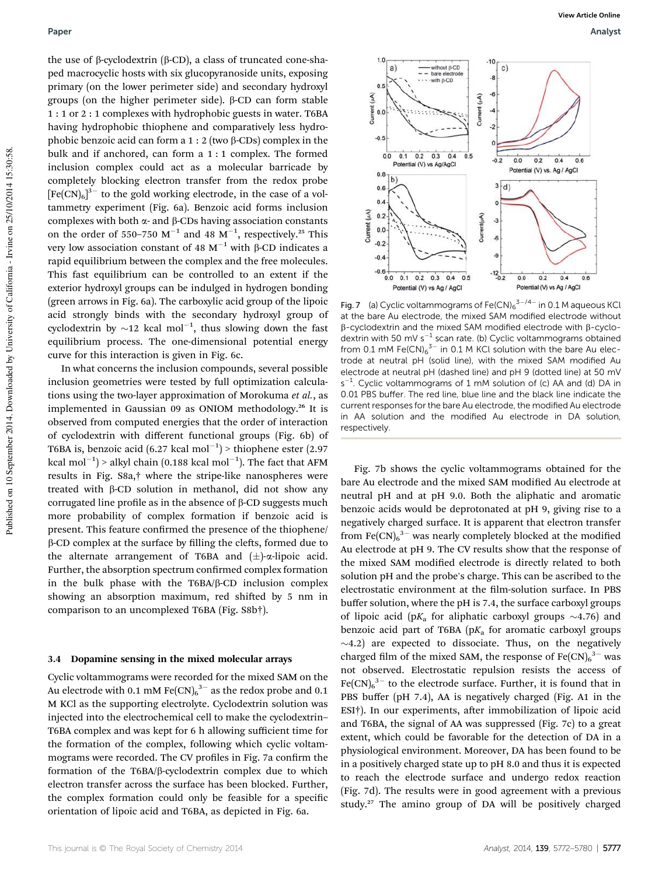# Paper Analyst

the use of  $\beta$ -cyclodextrin ( $\beta$ -CD), a class of truncated cone-shaped macrocyclic hosts with six glucopyranoside units, exposing primary (on the lower perimeter side) and secondary hydroxyl groups (on the higher perimeter side).  $\beta$ -CD can form stable 1 : 1 or 2 : 1 complexes with hydrophobic guests in water. T6BA having hydrophobic thiophene and comparatively less hydrophobic benzoic acid can form a  $1:2$  (two  $\beta$ -CDs) complex in the bulk and if anchored, can form a 1 : 1 complex. The formed inclusion complex could act as a molecular barricade by completely blocking electron transfer from the redox probe  $[Fe(CN)_6]^{3-}$  to the gold working electrode, in the case of a voltammetry experiment (Fig. 6a). Benzoic acid forms inclusion complexes with both  $\alpha$ - and  $\beta$ -CDs having association constants on the order of 550-750  $M^{-1}$  and 48  $M^{-1}$ , respectively.<sup>25</sup> This very low association constant of 48  $M^{-1}$  with  $\beta$ -CD indicates a rapid equilibrium between the complex and the free molecules. This fast equilibrium can be controlled to an extent if the exterior hydroxyl groups can be indulged in hydrogen bonding (green arrows in Fig. 6a). The carboxylic acid group of the lipoic acid strongly binds with the secondary hydroxyl group of cyclodextrin by  $\sim$ 12 kcal mol<sup>-1</sup>, thus slowing down the fast equilibrium process. The one-dimensional potential energy curve for this interaction is given in Fig. 6c.

In what concerns the inclusion compounds, several possible inclusion geometries were tested by full optimization calculations using the two-layer approximation of Morokuma *et al.*, as implemented in Gaussian 09 as ONIOM methodology.<sup>26</sup> It is observed from computed energies that the order of interaction of cyclodextrin with different functional groups (Fig. 6b) of T6BA is, benzoic acid (6.27 kcal mol<sup>-1</sup>) > thiophene ester (2.97 kcal mol<sup>-1</sup>) > alkyl chain (0.188 kcal mol<sup>-1</sup>). The fact that AFM results in Fig. S8a,† where the stripe-like nanospheres were treated with  $\beta$ -CD solution in methanol, did not show any corrugated line profile as in the absence of  $\beta$ -CD suggests much more probability of complex formation if benzoic acid is present. This feature confirmed the presence of the thiophene/  $\beta$ -CD complex at the surface by filling the clefts, formed due to the alternate arrangement of T6BA and  $(\pm)$ - $\alpha$ -lipoic acid. Further, the absorption spectrum confirmed complex formation in the bulk phase with the  $T6BA/B-CD$  inclusion complex showing an absorption maximum, red shifted by 5 nm in comparison to an uncomplexed T6BA (Fig. S8b†).

#### 3.4 Dopamine sensing in the mixed molecular arrays

Cyclic voltammograms were recorded for the mixed SAM on the Au electrode with 0.1 mM  $\text{Fe(CN)}_6^{3-}$  as the redox probe and 0.1 M KCl as the supporting electrolyte. Cyclodextrin solution was injected into the electrochemical cell to make the cyclodextrin– T6BA complex and was kept for 6 h allowing sufficient time for the formation of the complex, following which cyclic voltammograms were recorded. The CV profiles in Fig. 7a confirm the formation of the T6BA/b-cyclodextrin complex due to which electron transfer across the surface has been blocked. Further, the complex formation could only be feasible for a specific orientation of lipoic acid and T6BA, as depicted in Fig. 6a.



Fig. 7 (a) Cyclic voltammograms of  $\mathsf{Fe(CN)_6}^{3-/4-}$  in 0.1 M aqueous KCI at the bare Au electrode, the mixed SAM modified electrode without  $\beta$ -cyclodextrin and the mixed SAM modified electrode with  $\beta$ -cyclodextrin with 50 mV s<sup>-1</sup> scan rate. (b) Cyclic voltammograms obtained from 0.1 mM  $Fe(CN)_6^{3-}$  in 0.1 M KCl solution with the bare Au electrode at neutral pH (solid line), with the mixed SAM modified Au electrode at neutral pH (dashed line) and pH 9 (dotted line) at 50 mV s<sup>-1</sup>. Cyclic voltammograms of 1 mM solution of (c) AA and (d) DA in 0.01 PBS buffer. The red line, blue line and the black line indicate the current responses for the bare Au electrode, the modified Au electrode in AA solution and the modified Au electrode in DA solution, respectively.

Fig. 7b shows the cyclic voltammograms obtained for the bare Au electrode and the mixed SAM modified Au electrode at neutral pH and at pH 9.0. Both the aliphatic and aromatic benzoic acids would be deprotonated at pH 9, giving rise to a negatively charged surface. It is apparent that electron transfer from  $\text{Fe(CN)}_6^{3-}$  was nearly completely blocked at the modified Au electrode at pH 9. The CV results show that the response of the mixed SAM modified electrode is directly related to both solution pH and the probe's charge. This can be ascribed to the electrostatic environment at the film-solution surface. In PBS buffer solution, where the pH is 7.4, the surface carboxyl groups of lipoic acid ( $pK_a$  for aliphatic carboxyl groups  $\sim$ 4.76) and benzoic acid part of T6BA ( $pK_a$  for aromatic carboxyl groups  $\sim$ 4.2) are expected to dissociate. Thus, on the negatively charged film of the mixed SAM, the response of  $Fe(CN)_6^{3}$  was not observed. Electrostatic repulsion resists the access of  $Fe(CN)_{6}^{3-}$  to the electrode surface. Further, it is found that in PBS buffer (pH 7.4), AA is negatively charged (Fig. A1 in the ESI†). In our experiments, after immobilization of lipoic acid and T6BA, the signal of AA was suppressed (Fig. 7c) to a great extent, which could be favorable for the detection of DA in a physiological environment. Moreover, DA has been found to be in a positively charged state up to pH 8.0 and thus it is expected to reach the electrode surface and undergo redox reaction (Fig. 7d). The results were in good agreement with a previous study.<sup>27</sup> The amino group of DA will be positively charged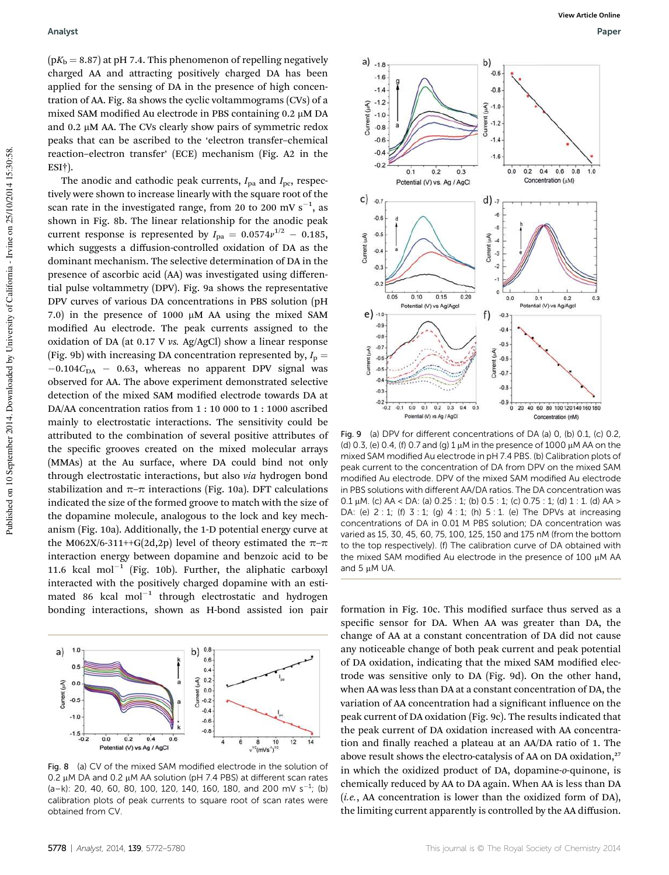$(pK_b = 8.87)$  at pH 7.4. This phenomenon of repelling negatively charged AA and attracting positively charged DA has been applied for the sensing of DA in the presence of high concentration of AA. Fig. 8a shows the cyclic voltammograms (CVs) of a mixed SAM modified Au electrode in PBS containing  $0.2 \mu M$  DA and 0.2  $\mu$ M AA. The CVs clearly show pairs of symmetric redox peaks that can be ascribed to the 'electron transfer–chemical reaction–electron transfer' (ECE) mechanism (Fig. A2 in the ESI†).

The anodic and cathodic peak currents,  $I_{pa}$  and  $I_{pc}$ , respectively were shown to increase linearly with the square root of the scan rate in the investigated range, from 20 to 200 mV  $s^{-1}$ , as shown in Fig. 8b. The linear relationship for the anodic peak current response is represented by  $I_{\rm pa} = 0.0574 v^{1/2} - 0.185$ , which suggests a diffusion-controlled oxidation of DA as the dominant mechanism. The selective determination of DA in the presence of ascorbic acid (AA) was investigated using differential pulse voltammetry (DPV). Fig. 9a shows the representative DPV curves of various DA concentrations in PBS solution (pH 7.0) in the presence of 1000  $\mu$ M AA using the mixed SAM modified Au electrode. The peak currents assigned to the oxidation of DA (at 0.17 V *vs.* Ag/AgCl) show a linear response (Fig. 9b) with increasing DA concentration represented by,  $I_p =$  $-0.104C<sub>DA</sub> - 0.63$ , whereas no apparent DPV signal was observed for AA. The above experiment demonstrated selective detection of the mixed SAM modified electrode towards DA at DA/AA concentration ratios from 1 : 10 000 to 1 : 1000 ascribed mainly to electrostatic interactions. The sensitivity could be attributed to the combination of several positive attributes of the specific grooves created on the mixed molecular arrays (MMAs) at the Au surface, where DA could bind not only through electrostatic interactions, but also *via* hydrogen bond stabilization and  $\pi$ – $\pi$  interactions (Fig. 10a). DFT calculations indicated the size of the formed groove to match with the size of the dopamine molecule, analogous to the lock and key mechanism (Fig. 10a). Additionally, the 1-D potential energy curve at the M062X/6-311++G(2d,2p) level of theory estimated the  $\pi$ - $\pi$ interaction energy between dopamine and benzoic acid to be 11.6 kcal mol<sup>-1</sup> (Fig. 10b). Further, the aliphatic carboxyl interacted with the positively charged dopamine with an estimated 86 kcal  $mol^{-1}$  through electrostatic and hydrogen



0.2  $\mu$ M DA and 0.2  $\mu$ M AA solution (pH 7.4 PBS) at different scan rates  $(a-k)$ : 20, 40, 60, 80, 100, 120, 140, 160, 180, and 200 mV s<sup>-1</sup>; (b) calibration plots of peak currents to square root of scan rates were obtained from CV.



Fig. 9 (a) DPV for different concentrations of DA (a) 0, (b) 0.1, (c) 0.2, (d) 0.3, (e) 0.4, (f) 0.7 and (g) 1  $\mu$ M in the presence of 1000  $\mu$ M AA on the mixed SAM modified Au electrode in pH 7.4 PBS. (b) Calibration plots of peak current to the concentration of DA from DPV on the mixed SAM modified Au electrode. DPV of the mixed SAM modified Au electrode in PBS solutions with different AA/DA ratios. The DA concentration was 0.1  $\mu$ M. (c) AA < DA: (a) 0.25 : 1; (b) 0.5 : 1; (c) 0.75 : 1; (d) 1 : 1. (d) AA > DA: (e) 2 : 1; (f) 3 : 1; (g) 4 : 1; (h) 5 : 1. (e) The DPVs at increasing concentrations of DA in 0.01 M PBS solution; DA concentration was varied as 15, 30, 45, 60, 75, 100, 125, 150 and 175 nM (from the bottom to the top respectively). (f) The calibration curve of DA obtained with the mixed SAM modified Au electrode in the presence of 100 µM AA and  $5 \mu M$  UA

bonding interactions, shown as H-bond assisted ion pair formation in Fig. 10c. This modified surface thus served as a specific sensor for DA. When AA was greater than DA, the change of AA at a constant concentration of DA did not cause any noticeable change of both peak current and peak potential of DA oxidation, indicating that the mixed SAM modified electrode was sensitive only to DA (Fig. 9d). On the other hand, when AA was less than DA at a constant concentration of DA, the variation of AA concentration had a significant influence on the peak current of DA oxidation (Fig. 9c). The results indicated that the peak current of DA oxidation increased with AA concentration and finally reached a plateau at an AA/DA ratio of 1. The above result shows the electro-catalysis of AA on DA oxidation,<sup>27</sup> in which the oxidized product of DA, dopamine-*o*-quinone, is chemically reduced by AA to DA again. When AA is less than DA (*i.e.*, AA concentration is lower than the oxidized form of DA), the limiting current apparently is controlled by the AA diffusion.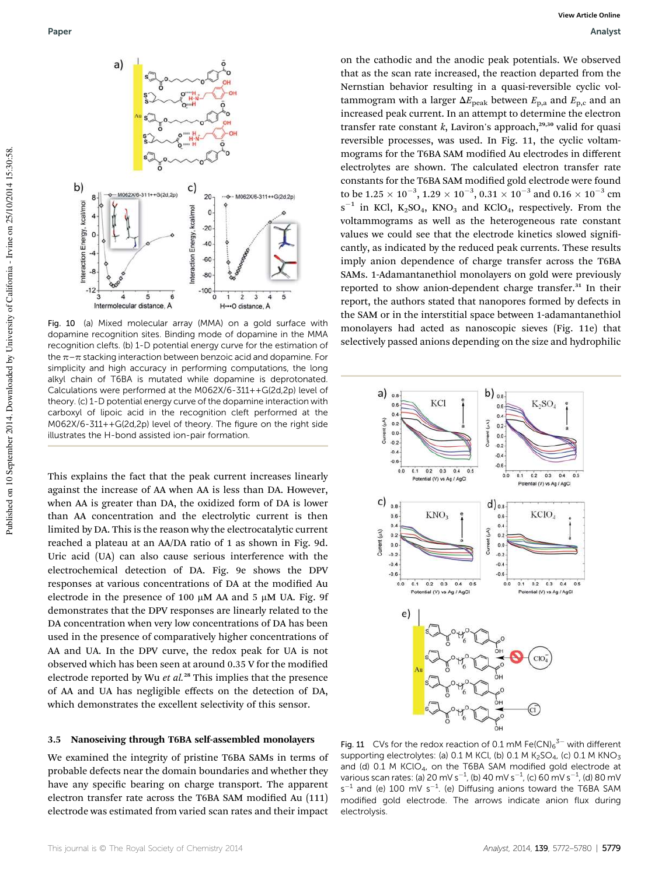

Fig. 10 (a) Mixed molecular array (MMA) on a gold surface with dopamine recognition sites. Binding mode of dopamine in the MMA recognition clefts. (b) 1-D potential energy curve for the estimation of the  $\pi$ – $\pi$  stacking interaction between benzoic acid and dopamine. For simplicity and high accuracy in performing computations, the long alkyl chain of T6BA is mutated while dopamine is deprotonated. Calculations were performed at the M062X/6-311++G(2d,2p) level of theory. (c) 1-D potential energy curve of the dopamine interaction with carboxyl of lipoic acid in the recognition cleft performed at the M062X/6-311++G(2d,2p) level of theory. The figure on the right side illustrates the H-bond assisted ion-pair formation.

This explains the fact that the peak current increases linearly against the increase of AA when AA is less than DA. However, when AA is greater than DA, the oxidized form of DA is lower than AA concentration and the electrolytic current is then limited by DA. This is the reason why the electrocatalytic current reached a plateau at an AA/DA ratio of 1 as shown in Fig. 9d. Uric acid (UA) can also cause serious interference with the electrochemical detection of DA. Fig. 9e shows the DPV responses at various concentrations of DA at the modified Au electrode in the presence of 100  $\mu$ M AA and 5  $\mu$ M UA. Fig. 9f demonstrates that the DPV responses are linearly related to the DA concentration when very low concentrations of DA has been used in the presence of comparatively higher concentrations of AA and UA. In the DPV curve, the redox peak for UA is not observed which has been seen at around 0.35 V for the modified electrode reported by Wu et al.<sup>28</sup> This implies that the presence of AA and UA has negligible effects on the detection of DA, which demonstrates the excellent selectivity of this sensor.

#### 3.5 Nanoseiving through T6BA self-assembled monolayers

We examined the integrity of pristine T6BA SAMs in terms of probable defects near the domain boundaries and whether they have any specific bearing on charge transport. The apparent electron transfer rate across the T6BA SAM modified Au (111) electrode was estimated from varied scan rates and their impact

on the cathodic and the anodic peak potentials. We observed that as the scan rate increased, the reaction departed from the Nernstian behavior resulting in a quasi-reversible cyclic voltammogram with a larger  $\Delta E_{\text{peak}}$  between  $E_{\text{p,a}}$  and  $E_{\text{p,c}}$  and an increased peak current. In an attempt to determine the electron transfer rate constant  $k$ , Laviron's approach,<sup>29,30</sup> valid for quasi reversible processes, was used. In Fig. 11, the cyclic voltammograms for the T6BA SAM modified Au electrodes in different electrolytes are shown. The calculated electron transfer rate constants for the T6BA SAM modified gold electrode were found to be  $1.25 \times 10^{-3}$ ,  $1.29 \times 10^{-3}$ ,  $0.31 \times 10^{-3}$  and  $0.16 \times 10^{-3}$  cm  $s^{-1}$  in KCl,  $K_2SO_4$ , KNO<sub>3</sub> and KClO<sub>4</sub>, respectively. From the voltammograms as well as the heterogeneous rate constant values we could see that the electrode kinetics slowed significantly, as indicated by the reduced peak currents. These results imply anion dependence of charge transfer across the T6BA SAMs. 1-Adamantanethiol monolayers on gold were previously reported to show anion-dependent charge transfer.<sup>31</sup> In their report, the authors stated that nanopores formed by defects in the SAM or in the interstitial space between 1-adamantanethiol monolayers had acted as nanoscopic sieves (Fig. 11e) that selectively passed anions depending on the size and hydrophilic



Fig. 11 CVs for the redox reaction of 0.1 mM Fe(CN) $_6^{3-}$  with different supporting electrolytes: (a)  $0.1$  M KCl, (b)  $0.1$  M K<sub>2</sub>SO<sub>4</sub>, (c)  $0.1$  M KNO<sub>3</sub> and (d)  $0.1$  M KClO<sub>4</sub>, on the T6BA SAM modified gold electrode at various scan rates: (a) 20 mV s<sup>-1</sup>, (b) 40 mV s<sup>-1</sup>, (c) 60 mV s<sup>-1</sup>, (d) 80 mV  $s^{-1}$  and (e) 100 mV  $s^{-1}$ . (e) Diffusing anions toward the T6BA SAM modified gold electrode. The arrows indicate anion flux during electrolysis.